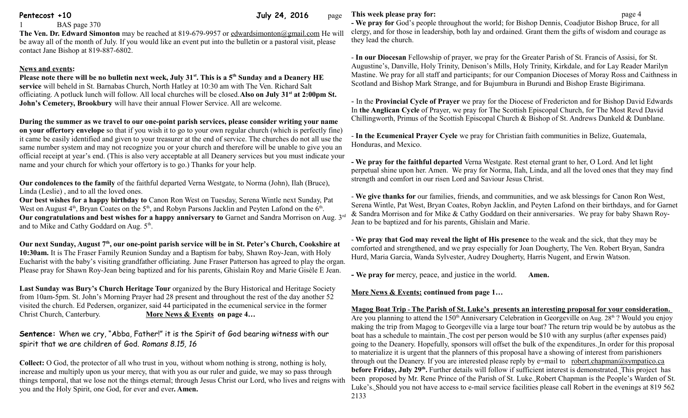**Pentecost +10** page **Pentecost +10** page

BAS page 370

**The Ven. Dr. Edward Simonton** may be reached at 819-679-9957 or [edwardsimonton@gmail.com](mailto:edwardsimonton@gmail.com) He will be away all of the month of July. If you would like an event put into the bulletin or a pastoral visit, please contact Jane Bishop at 819-887-6802.

## **News and events:**

**Please note there will be no bulletin next week, July 31st. This is a 5th Sunday and a Deanery HE service** will beheld in St. Barnabas Church, North Hatley at 10:30 am with The Ven. Richard Salt officiating. A potluck lunch will follow. All local churches will be closed.**Also on July 31st at 2:00pm St. John's Cemetery, Brookbury** will have their annual Flower Service. All are welcome.

**During the summer as we travel to our one-point parish services, please consider writing your name on your offertory envelope** so that if you wish it to go to your own regular church (which is perfectly fine) it came be easily identified and given to your treasurer at the end of service. The churches do not all use the same number system and may not recognize you or your church and therefore will be unable to give you an official receipt at year's end. (This is also very acceptable at all Deanery services but you must indicate your name and your church for which your offertory is to go.) Thanks for your help.

**Our condolences to the family** of the faithful departed Verna Westgate, to Norma (John), Ilah (Bruce), Linda (Leslie) , and to all the loved ones.

**Our best wishes for a happy birthday to** Canon Ron West on Tuesday, Serena Wintle next Sunday, Pat West on August  $4<sup>th</sup>$ , Bryan Coates on the  $5<sup>th</sup>$ , and Robyn Parsons Jacklin and Peyten Lafond on the  $6<sup>th</sup>$ . **Our congratulations and best wishes for a happy anniversary to** Garnet and Sandra Morrison on Aug. 3rd and to Mike and Cathy Goddard on Aug.  $5<sup>th</sup>$ .

Our next Sunday, August 7<sup>th</sup>, our one-point parish service will be in St. Peter's Church, Cookshire at **10:30am.** It is The Fraser Family Reunion Sunday and a Baptism for baby, Shawn Roy-Jean, with Holy Eucharist with the baby's visiting grandfather officiating. June Fraser Patterson has agreed to play the organ. Please pray for Shawn Roy-Jean being baptized and for his parents, Ghislain Roy and Marie Gisèle E Jean.

**Last Sunday was Bury's Church Heritage Tour** organized by the Bury Historical and Heritage Society from 10am-5pm. St. John's Morning Prayer had 28 present and throughout the rest of the day another 52 visited the church. Ed Pedersen, organizer, said 44 participated in the ecumenical service in the former Christ Church, Canterbury. **More News & Events on page 4…**

**Sentence:** When we cry, "Abba, Father!" it is the Spirit of God bearing witness with our spirit that we are children of God. *Romans 8.15, 16*

**Collect:** O God, the protector of all who trust in you, without whom nothing is strong, nothing is holy, increase and multiply upon us your mercy, that with you as our ruler and guide, we may so pass through things temporal, that we lose not the things eternal; through Jesus Christ our Lord, who lives and reigns with you and the Holy Spirit, one God, for ever and ever**. Amen.**

## **This week please pray for: page 4**

**- We pray for** God's people throughout the world; for Bishop Dennis, Coadjutor Bishop Bruce, for all clergy, and for those in leadership, both lay and ordained. Grant them the gifts of wisdom and courage as they lead the church.

- **In our Diocesan** Fellowship of prayer, we pray for the Greater Parish of St. Francis of Assisi, for St. Augustine's, Danville, Holy Trinity, Denison's Mills, Holy Trinity, Kirkdale, and for Lay Reader Marilyn Mastine. We pray for all staff and participants; for our Companion Dioceses of Moray Ross and Caithness in Scotland and Bishop Mark Strange, and for Bujumbura in Burundi and Bishop Eraste Bigirimana.

- In the **Provincial Cycle of Prayer** we pray for the Diocese of Fredericton and for Bishop David Edwards In **the Anglican Cycle** of Prayer, we pray for The Scottish Episcopal Church, for The Most Revd David Chillingworth, Primus of the Scottish Episcopal Church & Bishop of St. Andrews Dunkeld & Dunblane.

- **In the Ecumenical Prayer Cycle** we pray for Christian faith communities in Belize, Guatemala, Honduras, and Mexico.

**- We pray for the faithful departed** Verna Westgate. Rest eternal grant to her, O Lord. And let light perpetual shine upon her. Amen. We pray for Norma, Ilah, Linda, and all the loved ones that they may find strength and comfort in our risen Lord and Saviour Jesus Christ.

- **We give thanks for** our families, friends, and communities, and we ask blessings for Canon Ron West, Serena Wintle, Pat West, Bryan Coates, Robyn Jacklin, and Peyten Lafond on their birthdays, and for Garnet & Sandra Morrison and for Mike & Cathy Goddard on their anniversaries. We pray for baby Shawn Roy-Jean to be baptized and for his parents, Ghislain and Marie.

- **We pray that God may reveal the light of His presence** to the weak and the sick, that they may be comforted and strengthened, and we pray especially for Joan Dougherty, The Ven. Robert Bryan, Sandra Hurd, Maria Garcia, Wanda Sylvester, Audrey Dougherty, Harris Nugent, and Erwin Watson.

**- We pray for** mercy, peace, and justice in the world. **Amen.**

**More News & Events: continued from page 1…**

 **Magog Boat Trip - The Parish of St. Luke's presents an interesting proposal for your consideration.** Are you planning to attend the 150<sup>th</sup> Anniversary Celebration in Georgeville on Aug. 28<sup>th</sup> ? Would you enjoy making the trip from Magog to Georgeville via a large tour boat? The return trip would be by autobus as the boat has a schedule to maintain. The cost per person would be \$10 with any surplus (after expenses paid) going to the Deanery. Hopefully, sponsors will offset the bulk of the expenditures. In order for this proposal to materialize it is urgent that the planners of this proposal have a showing of interest from parishioners through out the Deanery. If you are interested please reply by e=mail to [robert.chapman@sympatico.ca](mailto:robert.chapman@sympatico.ca) before Friday, July 29<sup>th</sup>. Further details will follow if sufficient interest is demonstrated. This project has been proposed by Mr. Rene Prince of the Parish of St. Luke. Robert Chapman is the People's Warden of St. Luke's. Should you not have access to e-mail service facilities please call Robert in the evenings at 819 562 2133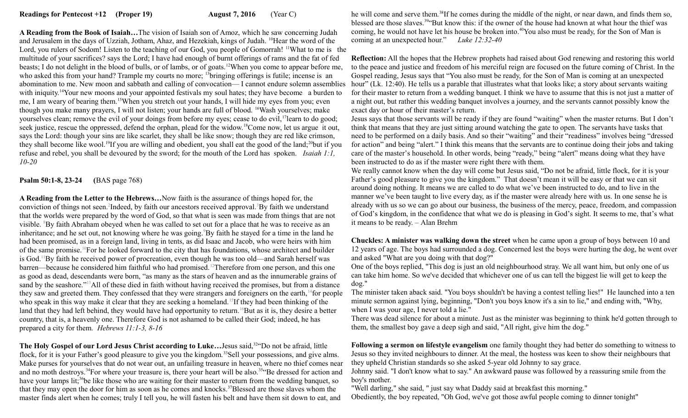**A Reading from the Book of Isaiah…**The vision of Isaiah son of Amoz, which he saw concerning Judah and Jerusalem in the days of Uzziah, Jotham, Ahaz, and Hezekiah, kings of Judah. <sup>10</sup>Hear the word of the Lord, you rulers of Sodom! Listen to the teaching of our God, you people of Gomorrah! <sup>11</sup>What to me is the multitude of your sacrifices? says the Lord; I have had enough of burnt offerings of rams and the fat of fed beasts; I do not delight in the blood of bulls, or of lambs, or of goats.<sup>12</sup>When you come to appear before me, who asked this from your hand? Trample my courts no more; <sup>13</sup>bringing offerings is futile; incense is an abomination to me. New moon and sabbath and calling of convocation—I cannot endure solemn assemblies hour" (Lk. 12:40). He tells us a parable that illustrates what that looks like; a story about servants waiting with iniquity.<sup>14</sup>Your new moons and your appointed festivals my soul hates; they have become a burden to me, I am weary of bearing them.<sup>15</sup>When you stretch out your hands, I will hide my eyes from you; even though you make many prayers, I will not listen; your hands are full of blood. <sup>16</sup>Wash yourselves; make yourselves clean; remove the evil of your doings from before my eyes; cease to do evil, <sup>17</sup>learn to do good; seek justice, rescue the oppressed, defend the orphan, plead for the widow.<sup>18</sup>Come now, let us argue it out, says the Lord: though your sins are like scarlet, they shall be like snow; though they are red like crimson, they shall become like wool.<sup>19</sup>If you are willing and obedient, you shall eat the good of the land;<sup>20</sup>but if you refuse and rebel, you shall be devoured by the sword; for the mouth of the Lord has spoken. *Isaiah 1:1, 10-20* 

**Psalm 50:1-8, 23-24 (**BAS page 768)

**A Reading from the Letter to the Hebrews…**Now faith is the assurance of things hoped for, the conviction of things not seen.<sup>2</sup>Indeed, by faith our ancestors received approval.<sup>3</sup>By faith we understand that the worlds were prepared by the word of God, so that what is seen was made from things that are not visible. <sup>8</sup>By faith Abraham obeyed when he was called to set out for a place that he was to receive as an inheritance; and he set out, not knowing where he was going.<sup>9</sup>By faith he stayed for a time in the land he had been promised, as in a foreign land, living in tents, as did Isaac and Jacob, who were heirs with him of the same promise.<sup>10</sup>For he looked forward to the city that has foundations, whose architect and builder is God.<sup>11</sup>By faith he received power of procreation, even though he was too old—and Sarah herself was barren—because he considered him faithful who had promised.<sup>12</sup>Therefore from one person, and this one as good as dead, descendants were born, "as many as the stars of heaven and as the innumerable grains of sand by the seashore."<sup>13</sup>All of these died in faith without having received the promises, but from a distance they saw and greeted them. They confessed that they were strangers and foreigners on the earth,<sup>14</sup>for people who speak in this way make it clear that they are seeking a homeland.<sup>15</sup>If they had been thinking of the land that they had left behind, they would have had opportunity to return.<sup>16</sup>But as it is, they desire a better country, that is, a heavenly one. Therefore God is not ashamed to be called their God; indeed, he has prepared a city for them. *Hebrews 11:1-3, 8-16*

**The Holy Gospel of our Lord Jesus Christ according to Luke…**Jesus said,<sup>32</sup>"Do not be afraid, little flock, for it is your Father's good pleasure to give you the kingdom.<sup>33</sup>Sell your possessions, and give alms. Make purses for yourselves that do not wear out, an unfailing treasure in heaven, where no thief comes near and no moth destroys.<sup>34</sup>For where your treasure is, there your heart will be also.<sup>35</sup> Be dressed for action and have your lamps lit;<sup>36</sup>be like those who are waiting for their master to return from the wedding banquet, so that they may open the door for him as soon as he comes and knocks.<sup>37</sup>Blessed are those slaves whom the master finds alert when he comes; truly I tell you, he will fasten his belt and have them sit down to eat, and

he will come and serve them.<sup>38</sup>If he comes during the middle of the night, or near dawn, and finds them so, blessed are those slaves.<sup>39</sup>"But know this: if the owner of the house had known at what hour the thief was coming, he would not have let his house be broken into.<sup>40</sup>You also must be ready, for the Son of Man is coming at an unexpected hour." *Luke 12:32-40*

**Reflection:** All the hopes that the Hebrew prophets had raised about God renewing and restoring this world to the peace and justice and freedom of his merciful reign are focused on the future coming of Christ. In the Gospel reading, Jesus says that "You also must be ready, for the Son of Man is coming at an unexpected for their master to return from a wedding banquet. I think we have to assume that this is not just a matter of a night out, but rather this wedding banquet involves a journey, and the servants cannot possibly know the exact day or hour of their master's return.

Jesus says that those servants will be ready if they are found "waiting" when the master returns. But I don't think that means that they are just sitting around watching the gate to open. The servants have tasks that need to be performed on a daily basis. And so their "waiting" and their "readiness" involves being "dressed for action" and being "alert." I think this means that the servants are to continue doing their jobs and taking care of the master's household. In other words, being "ready," being "alert" means doing what they have been instructed to do as if the master were right there with them.

We really cannot know when the day will come but Jesus said, "Do not be afraid, little flock, for it is your Father's good pleasure to give you the kingdom." That doesn't mean it will be easy or that we can sit around doing nothing. It means we are called to do what we've been instructed to do, and to live in the manner we've been taught to live every day, as if the master were already here with us. In one sense he is already with us so we can go about our business, the business of the mercy, peace, freedom, and compassion of God's kingdom, in the confidence that what we do is pleasing in God's sight. It seems to me, that's what it means to be ready. – Alan Brehm

**Chuckles: A minister was walking down the street** when he came upon a group of boys between 10 and 12 years of age. The boys had surrounded a dog. Concerned lest the boys were hurting the dog, he went over and asked "What are you doing with that dog?"

One of the boys replied, "This dog is just an old neighbourhood stray. We all want him, but only one of us can take him home. So we've decided that whichever one of us can tell the biggest lie will get to keep the dog."

The minister taken aback said. "You boys shouldn't be having a contest telling lies!" He launched into a ten minute sermon against lying, beginning, "Don't you boys know it's a sin to lie," and ending with, "Why, when I was your age, I never told a lie."

There was dead silence for about a minute. Just as the minister was beginning to think he'd gotten through to them, the smallest boy gave a deep sigh and said, "All right, give him the dog."

**Following a sermon on lifestyle evangelism** one family thought they had better do something to witness to Jesus so they invited neighbours to dinner. At the meal, the hostess was keen to show their neighbours that they upheld Christian standards so she asked 5-year old Johnny to say grace.

Johnny said. "I don't know what to say." An awkward pause was followed by a reassuring smile from the boy's mother.

"Well darling," she said, " just say what Daddy said at breakfast this morning."

Obediently, the boy repeated, "Oh God, we've got those awful people coming to dinner tonight"